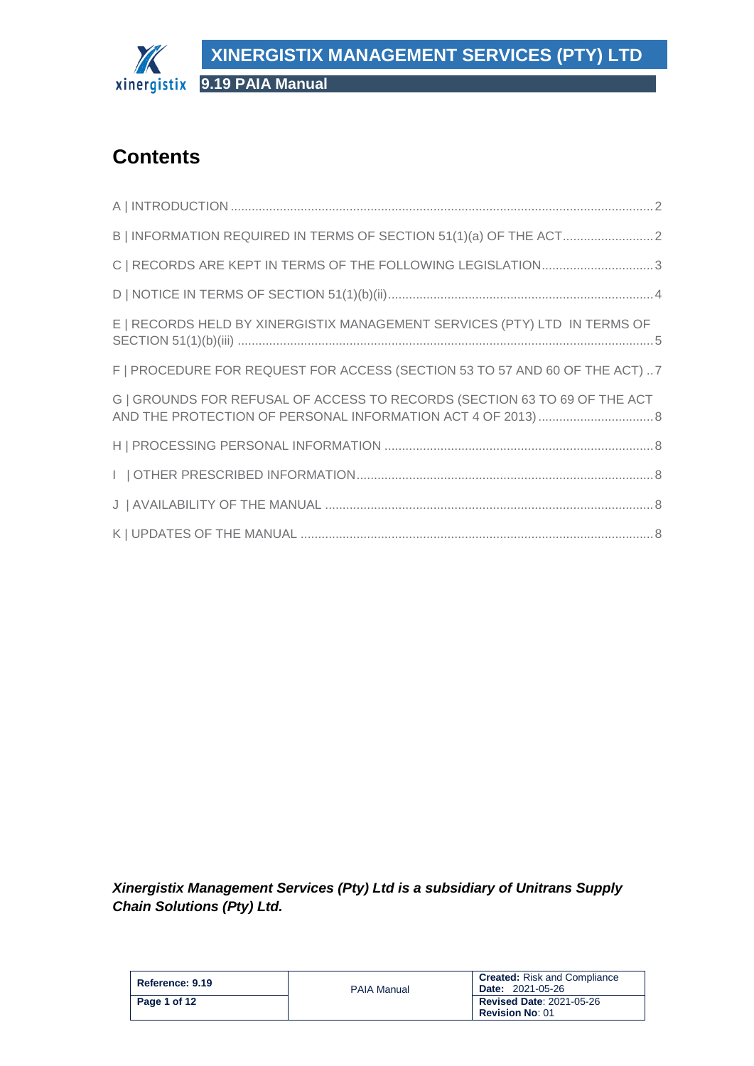

# **Contents**

| C   RECORDS ARE KEPT IN TERMS OF THE FOLLOWING LEGISLATION3                 |  |
|-----------------------------------------------------------------------------|--|
|                                                                             |  |
| E   RECORDS HELD BY XINERGISTIX MANAGEMENT SERVICES (PTY) LTD IN TERMS OF   |  |
| F   PROCEDURE FOR REQUEST FOR ACCESS (SECTION 53 TO 57 AND 60 OF THE ACT) 7 |  |
| G   GROUNDS FOR REFUSAL OF ACCESS TO RECORDS (SECTION 63 TO 69 OF THE ACT   |  |
|                                                                             |  |
|                                                                             |  |
|                                                                             |  |
|                                                                             |  |

*Xinergistix Management Services (Pty) Ltd is a subsidiary of Unitrans Supply Chain Solutions (Pty) Ltd.*

| Reference: 9.19 | <b>PAIA Manual</b> | <b>Created:</b> Risk and Compliance<br><b>Date: 2021-05-26</b> |
|-----------------|--------------------|----------------------------------------------------------------|
| Page 1 of 12    |                    | <b>Revised Date: 2021-05-26</b><br><b>Revision No: 01</b>      |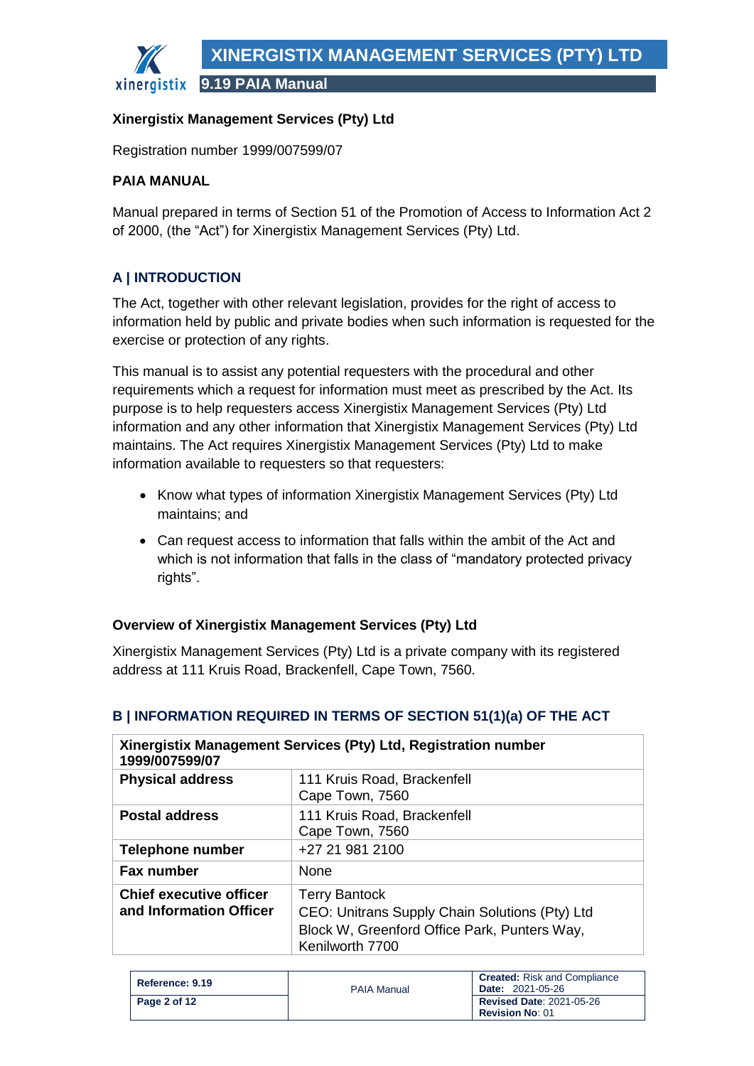**9.19 PAIA Manual**

### **Xinergistix Management Services (Pty) Ltd**

Registration number 1999/007599/07

#### **PAIA MANUAL**

Manual prepared in terms of Section 51 of the Promotion of Access to Information Act 2 of 2000, (the "Act") for Xinergistix Management Services (Pty) Ltd.

# <span id="page-1-0"></span>**A | INTRODUCTION**

The Act, together with other relevant legislation, provides for the right of access to information held by public and private bodies when such information is requested for the exercise or protection of any rights.

This manual is to assist any potential requesters with the procedural and other requirements which a request for information must meet as prescribed by the Act. Its purpose is to help requesters access Xinergistix Management Services (Pty) Ltd information and any other information that Xinergistix Management Services (Pty) Ltd maintains. The Act requires Xinergistix Management Services (Pty) Ltd to make information available to requesters so that requesters:

- Know what types of information Xinergistix Management Services (Pty) Ltd maintains; and
- Can request access to information that falls within the ambit of the Act and which is not information that falls in the class of "mandatory protected privacy rights".

### **Overview of Xinergistix Management Services (Pty) Ltd**

Xinergistix Management Services (Pty) Ltd is a private company with its registered address at 111 Kruis Road, Brackenfell, Cape Town, 7560.

| 1999/007599/07                                            | Xinergistix Management Services (Pty) Ltd, Registration number                                                                            |
|-----------------------------------------------------------|-------------------------------------------------------------------------------------------------------------------------------------------|
| <b>Physical address</b>                                   | 111 Kruis Road, Brackenfell<br>Cape Town, 7560                                                                                            |
| <b>Postal address</b>                                     | 111 Kruis Road, Brackenfell<br>Cape Town, 7560                                                                                            |
| <b>Telephone number</b>                                   | +27 21 981 2100                                                                                                                           |
| <b>Fax number</b>                                         | <b>None</b>                                                                                                                               |
| <b>Chief executive officer</b><br>and Information Officer | <b>Terry Bantock</b><br>CEO: Unitrans Supply Chain Solutions (Pty) Ltd<br>Block W, Greenford Office Park, Punters Way,<br>Kenilworth 7700 |

# <span id="page-1-1"></span>**B | INFORMATION REQUIRED IN TERMS OF SECTION 51(1)(a) OF THE ACT**

| Reference: 9.19 | <b>PAIA Manual</b> | <b>Created:</b> Risk and Compliance<br><b>Date: 2021-05-26</b> |
|-----------------|--------------------|----------------------------------------------------------------|
| Page 2 of 12    |                    | <b>Revised Date: 2021-05-26</b><br><b>Revision No: 01</b>      |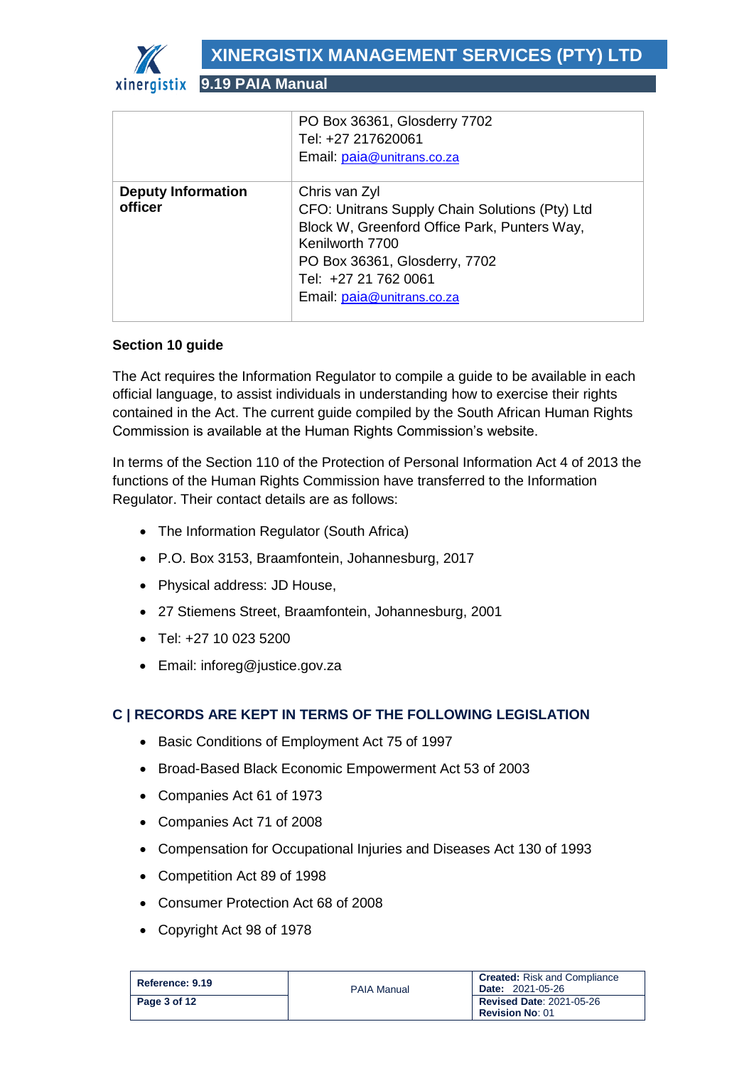

**9.19 PAIA Manual**

|                                      | PO Box 36361, Glosderry 7702<br>Tel: +27 217620061<br>Email: paia@unitrans.co.za                                                                                                                                          |
|--------------------------------------|---------------------------------------------------------------------------------------------------------------------------------------------------------------------------------------------------------------------------|
| <b>Deputy Information</b><br>officer | Chris van Zyl<br>CFO: Unitrans Supply Chain Solutions (Pty) Ltd<br>Block W, Greenford Office Park, Punters Way,<br>Kenilworth 7700<br>PO Box 36361, Glosderry, 7702<br>Tel: +27 21 762 0061<br>Email: paia@unitrans.co.za |

### **Section 10 guide**

The Act requires the Information Regulator to compile a guide to be available in each official language, to assist individuals in understanding how to exercise their rights contained in the Act. The current guide compiled by the South African Human Rights Commission is available at the Human Rights Commission's website.

In terms of the Section 110 of the Protection of Personal Information Act 4 of 2013 the functions of the Human Rights Commission have transferred to the Information Regulator. Their contact details are as follows:

- The Information Regulator (South Africa)
- P.O. Box 3153, Braamfontein, Johannesburg, 2017
- Physical address: JD House,
- 27 Stiemens Street, Braamfontein, Johannesburg, 2001
- Tel: +27 10 023 5200
- Email: inforeg@justice.gov.za

# <span id="page-2-0"></span>**C | RECORDS ARE KEPT IN TERMS OF THE FOLLOWING LEGISLATION**

- Basic Conditions of Employment Act 75 of 1997
- Broad-Based Black Economic Empowerment Act 53 of 2003
- Companies Act 61 of 1973
- Companies Act 71 of 2008
- Compensation for Occupational Injuries and Diseases Act 130 of 1993
- Competition Act 89 of 1998
- Consumer Protection Act 68 of 2008
- Copyright Act 98 of 1978

| Reference: 9.19 | <b>PAIA Manual</b> | <b>Created:</b> Risk and Compliance<br><b>Date: 2021-05-26</b> |
|-----------------|--------------------|----------------------------------------------------------------|
| Page 3 of 12    |                    | <b>Revised Date: 2021-05-26</b><br><b>Revision No: 01</b>      |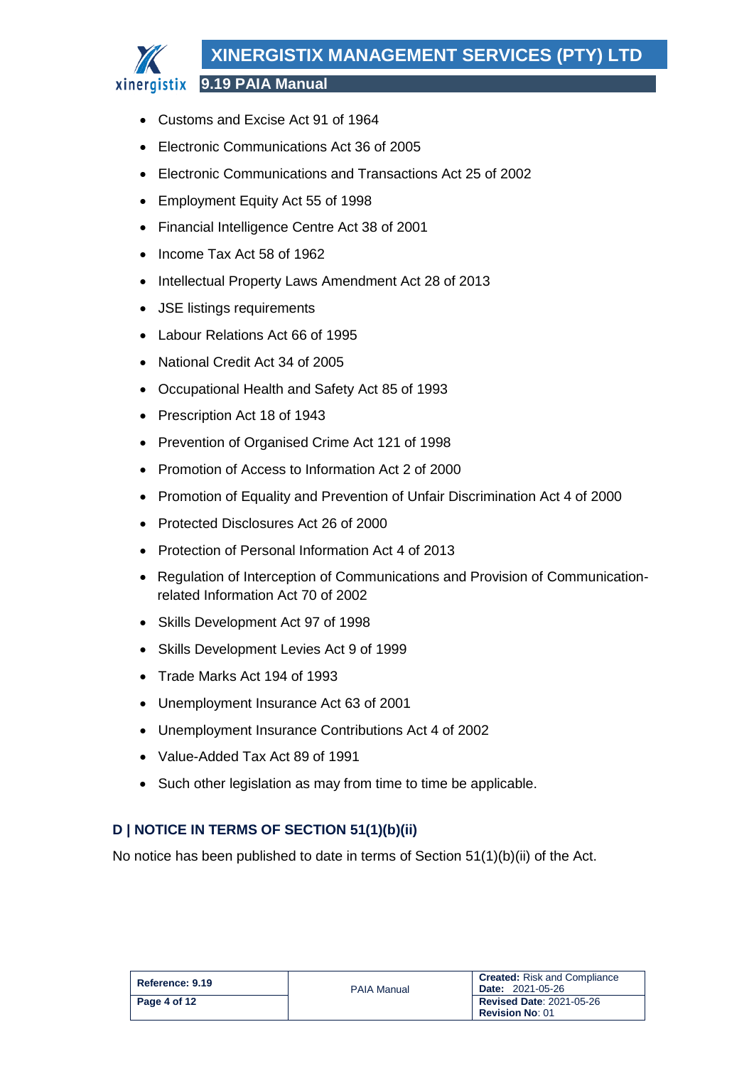# **XINERGISTIX MANAGEMENT SERVICES (PTY) LTD**

**9.19 PAIA Manual**

- Customs and Excise Act 91 of 1964
- Electronic Communications Act 36 of 2005
- Electronic Communications and Transactions Act 25 of 2002
- Employment Equity Act 55 of 1998
- Financial Intelligence Centre Act 38 of 2001
- Income Tax Act 58 of 1962
- Intellectual Property Laws Amendment Act 28 of 2013
- JSE listings requirements
- Labour Relations Act 66 of 1995
- National Credit Act 34 of 2005
- Occupational Health and Safety Act 85 of 1993
- Prescription Act 18 of 1943
- Prevention of Organised Crime Act 121 of 1998
- Promotion of Access to Information Act 2 of 2000
- Promotion of Equality and Prevention of Unfair Discrimination Act 4 of 2000
- Protected Disclosures Act 26 of 2000
- Protection of Personal Information Act 4 of 2013
- Regulation of Interception of Communications and Provision of Communicationrelated Information Act 70 of 2002
- Skills Development Act 97 of 1998
- Skills Development Levies Act 9 of 1999
- Trade Marks Act 194 of 1993
- Unemployment Insurance Act 63 of 2001
- Unemployment Insurance Contributions Act 4 of 2002
- Value-Added Tax Act 89 of 1991
- Such other legislation as may from time to time be applicable.

# <span id="page-3-0"></span>**D | NOTICE IN TERMS OF SECTION 51(1)(b)(ii)**

No notice has been published to date in terms of Section 51(1)(b)(ii) of the Act.

| Reference: 9.19 | <b>PAIA Manual</b> | <b>Created:</b> Risk and Compliance<br><b>Date: 2021-05-26</b> |
|-----------------|--------------------|----------------------------------------------------------------|
| Page 4 of 12    |                    | <b>Revised Date: 2021-05-26</b><br><b>Revision No: 01</b>      |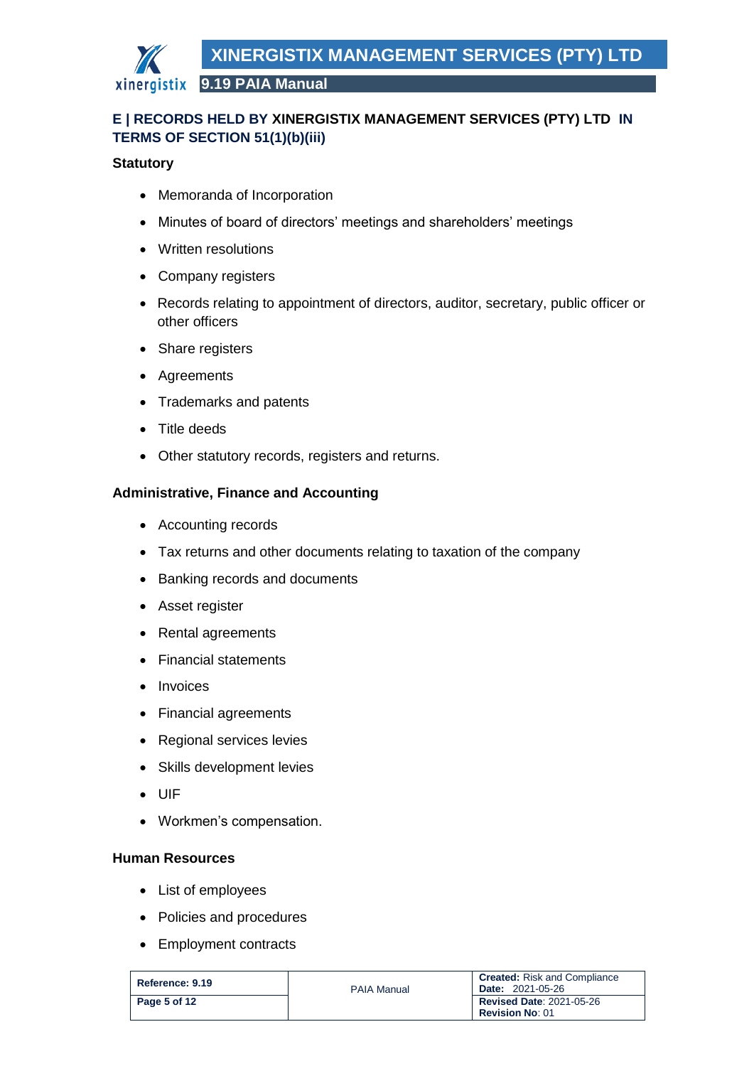

# <span id="page-4-0"></span>**E | RECORDS HELD BY XINERGISTIX MANAGEMENT SERVICES (PTY) LTD IN TERMS OF SECTION 51(1)(b)(iii)**

### **Statutory**

- Memoranda of Incorporation
- Minutes of board of directors' meetings and shareholders' meetings
- Written resolutions
- Company registers
- Records relating to appointment of directors, auditor, secretary, public officer or other officers
- Share registers
- Agreements
- Trademarks and patents
- Title deeds
- Other statutory records, registers and returns.

### **Administrative, Finance and Accounting**

- Accounting records
- Tax returns and other documents relating to taxation of the company
- Banking records and documents
- Asset register
- Rental agreements
- Financial statements
- Invoices
- Financial agreements
- Regional services levies
- Skills development levies
- UIF
- Workmen's compensation.

### **Human Resources**

- List of employees
- Policies and procedures
- Employment contracts

| Reference: 9.19 | <b>PAIA Manual</b> | <b>Created:</b> Risk and Compliance<br><b>Date: 2021-05-26</b> |
|-----------------|--------------------|----------------------------------------------------------------|
| Page 5 of 12    |                    | <b>Revised Date: 2021-05-26</b><br><b>Revision No: 01</b>      |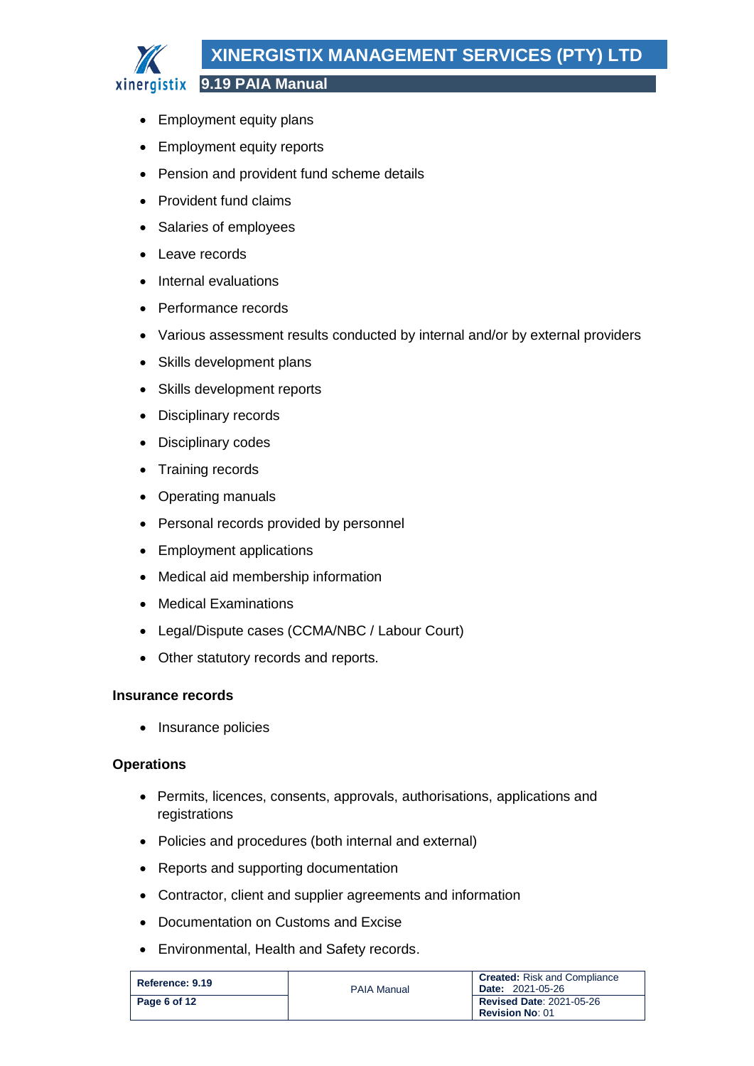# **XINERGISTIX MANAGEMENT SERVICES (PTY) LTD**

**9.19 PAIA Manual**

- Employment equity plans
- Employment equity reports
- Pension and provident fund scheme details
- Provident fund claims
- Salaries of employees
- Leave records
- Internal evaluations
- Performance records
- Various assessment results conducted by internal and/or by external providers
- Skills development plans
- Skills development reports
- Disciplinary records
- Disciplinary codes
- Training records
- Operating manuals
- Personal records provided by personnel
- Employment applications
- Medical aid membership information
- Medical Examinations
- Legal/Dispute cases (CCMA/NBC / Labour Court)
- Other statutory records and reports.

### **Insurance records**

• Insurance policies

# **Operations**

- Permits, licences, consents, approvals, authorisations, applications and registrations
- Policies and procedures (both internal and external)
- Reports and supporting documentation
- Contractor, client and supplier agreements and information
- Documentation on Customs and Excise
- Environmental, Health and Safety records.

| Reference: 9.19 | <b>PAIA Manual</b> | <b>Created:</b> Risk and Compliance<br><b>Date: 2021-05-26</b> |
|-----------------|--------------------|----------------------------------------------------------------|
| Page 6 of 12    |                    | <b>Revised Date: 2021-05-26</b><br><b>Revision No: 01</b>      |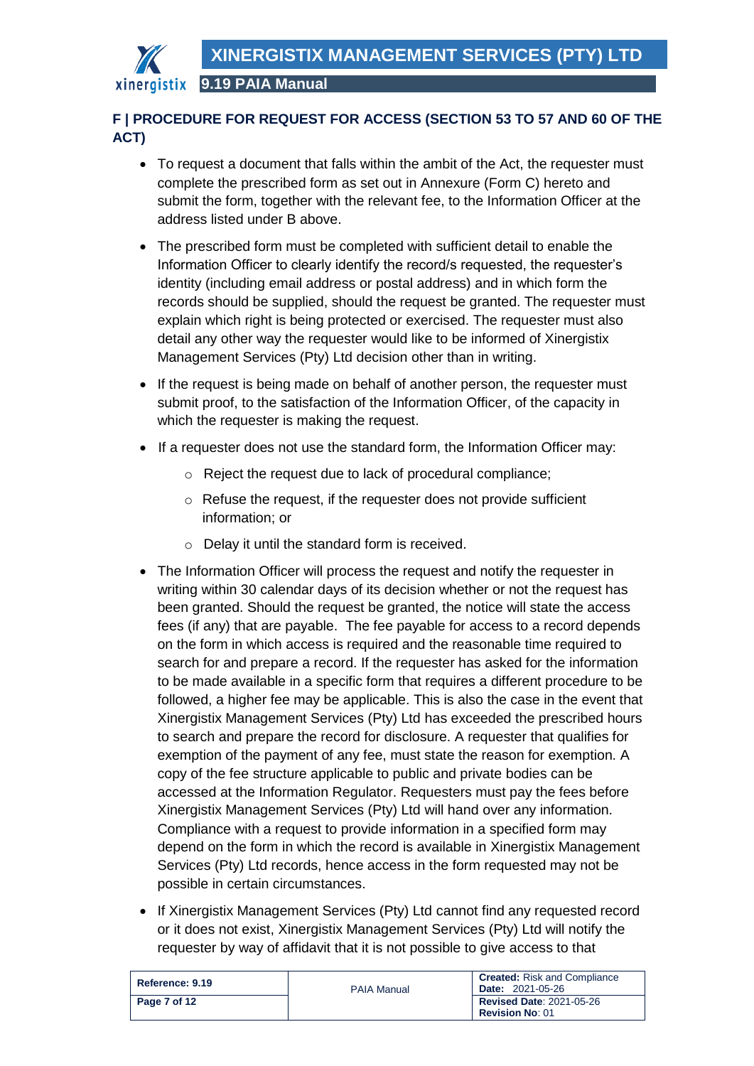

# <span id="page-6-0"></span>**F | PROCEDURE FOR REQUEST FOR ACCESS (SECTION 53 TO 57 AND 60 OF THE ACT)**

- To request a document that falls within the ambit of the Act, the requester must complete the prescribed form as set out in Annexure (Form C) hereto and submit the form, together with the relevant fee, to the Information Officer at the address listed under B above.
- The prescribed form must be completed with sufficient detail to enable the Information Officer to clearly identify the record/s requested, the requester's identity (including email address or postal address) and in which form the records should be supplied, should the request be granted. The requester must explain which right is being protected or exercised. The requester must also detail any other way the requester would like to be informed of Xinergistix Management Services (Pty) Ltd decision other than in writing.
- If the request is being made on behalf of another person, the requester must submit proof, to the satisfaction of the Information Officer, of the capacity in which the requester is making the request.
- If a requester does not use the standard form, the Information Officer may:
	- o Reject the request due to lack of procedural compliance;
	- o Refuse the request, if the requester does not provide sufficient information; or
	- o Delay it until the standard form is received.
- The Information Officer will process the request and notify the requester in writing within 30 calendar days of its decision whether or not the request has been granted. Should the request be granted, the notice will state the access fees (if any) that are payable. The fee payable for access to a record depends on the form in which access is required and the reasonable time required to search for and prepare a record. If the requester has asked for the information to be made available in a specific form that requires a different procedure to be followed, a higher fee may be applicable. This is also the case in the event that Xinergistix Management Services (Pty) Ltd has exceeded the prescribed hours to search and prepare the record for disclosure. A requester that qualifies for exemption of the payment of any fee, must state the reason for exemption. A copy of the fee structure applicable to public and private bodies can be accessed at the Information Regulator. Requesters must pay the fees before Xinergistix Management Services (Pty) Ltd will hand over any information. Compliance with a request to provide information in a specified form may depend on the form in which the record is available in Xinergistix Management Services (Pty) Ltd records, hence access in the form requested may not be possible in certain circumstances.
- If Xinergistix Management Services (Pty) Ltd cannot find any requested record or it does not exist, Xinergistix Management Services (Pty) Ltd will notify the requester by way of affidavit that it is not possible to give access to that

| Reference: 9.19 | <b>PAIA Manual</b> | <b>Created:</b> Risk and Compliance<br><b>Date: 2021-05-26</b> |
|-----------------|--------------------|----------------------------------------------------------------|
| Page 7 of 12    |                    | <b>Revised Date: 2021-05-26</b><br><b>Revision No: 01</b>      |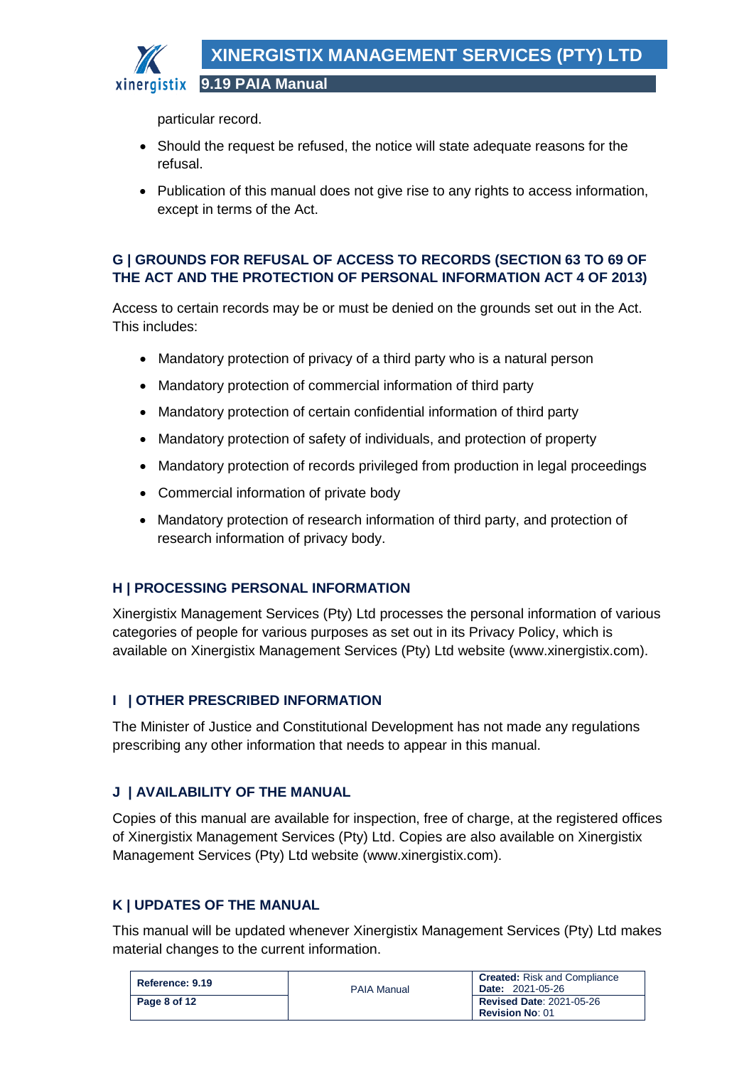

particular record.

- Should the request be refused, the notice will state adequate reasons for the refusal.
- Publication of this manual does not give rise to any rights to access information, except in terms of the Act.

# <span id="page-7-0"></span>**G | GROUNDS FOR REFUSAL OF ACCESS TO RECORDS (SECTION 63 TO 69 OF THE ACT AND THE PROTECTION OF PERSONAL INFORMATION ACT 4 OF 2013)**

Access to certain records may be or must be denied on the grounds set out in the Act. This includes:

- Mandatory protection of privacy of a third party who is a natural person
- Mandatory protection of commercial information of third party
- Mandatory protection of certain confidential information of third party
- Mandatory protection of safety of individuals, and protection of property
- Mandatory protection of records privileged from production in legal proceedings
- Commercial information of private body
- Mandatory protection of research information of third party, and protection of research information of privacy body.

# <span id="page-7-1"></span>**H | PROCESSING PERSONAL INFORMATION**

Xinergistix Management Services (Pty) Ltd processes the personal information of various categories of people for various purposes as set out in its Privacy Policy, which is available on Xinergistix Management Services (Pty) Ltd website (www.xinergistix.com).

# <span id="page-7-2"></span>**I | OTHER PRESCRIBED INFORMATION**

The Minister of Justice and Constitutional Development has not made any regulations prescribing any other information that needs to appear in this manual.

# <span id="page-7-3"></span>**J | AVAILABILITY OF THE MANUAL**

Copies of this manual are available for inspection, free of charge, at the registered offices of Xinergistix Management Services (Pty) Ltd. Copies are also available on Xinergistix Management Services (Pty) Ltd website (www.xinergistix.com).

# <span id="page-7-4"></span>**K | UPDATES OF THE MANUAL**

This manual will be updated whenever Xinergistix Management Services (Pty) Ltd makes material changes to the current information.

| Reference: 9.19 | <b>PAIA Manual</b> | <b>Created:</b> Risk and Compliance<br><b>Date: 2021-05-26</b> |
|-----------------|--------------------|----------------------------------------------------------------|
| Page 8 of 12    |                    | <b>Revised Date: 2021-05-26</b><br><b>Revision No: 01</b>      |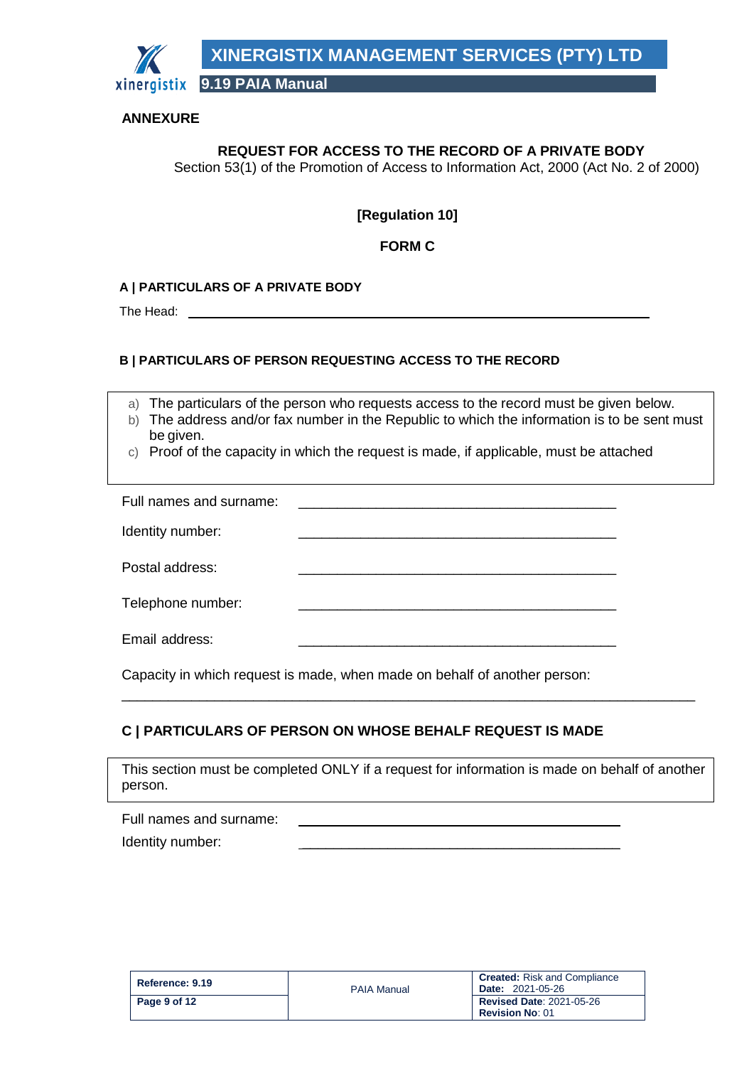

### **ANNEXURE**

# **REQUEST FOR ACCESS TO THE RECORD OF A PRIVATE BODY**

Section 53(1) of the Promotion of Access to Information Act, 2000 (Act No. 2 of 2000)

### **[Regulation 10]**

### **FORM C**

#### **A | PARTICULARS OF A PRIVATE BODY**

The Head:

#### **B | PARTICULARS OF PERSON REQUESTING ACCESS TO THE RECORD**

a) The particulars of the person who requests access to the record must be given below.

- b) The address and/or fax number in the Republic to which the information is to be sent must be given.
- c) Proof of the capacity in which the request is made, if applicable, must be attached

| Full names and surname: |  |
|-------------------------|--|
| Identity number:        |  |
| Postal address:         |  |
| Telephone number:       |  |
| Email address:          |  |

Capacity in which request is made, when made on behalf of another person:

### **C | PARTICULARS OF PERSON ON WHOSE BEHALF REQUEST IS MADE**

This section must be completed ONLY if a request for information is made on behalf of another person.

\_\_\_\_\_\_\_\_\_\_\_\_\_\_\_\_\_\_\_\_\_\_\_\_\_\_\_\_\_\_\_\_\_\_\_\_\_\_\_\_\_\_\_\_\_\_\_\_\_\_\_\_\_\_\_\_\_\_\_\_\_\_\_\_\_\_\_\_\_\_\_\_\_\_

| Full names and surname: |  |
|-------------------------|--|
| .                       |  |

Identity number:

| Reference: 9.19 | <b>PAIA Manual</b> | <b>Created:</b> Risk and Compliance<br><b>Date: 2021-05-26</b> |
|-----------------|--------------------|----------------------------------------------------------------|
| Page 9 of 12    |                    | <b>Revised Date: 2021-05-26</b><br><b>Revision No: 01</b>      |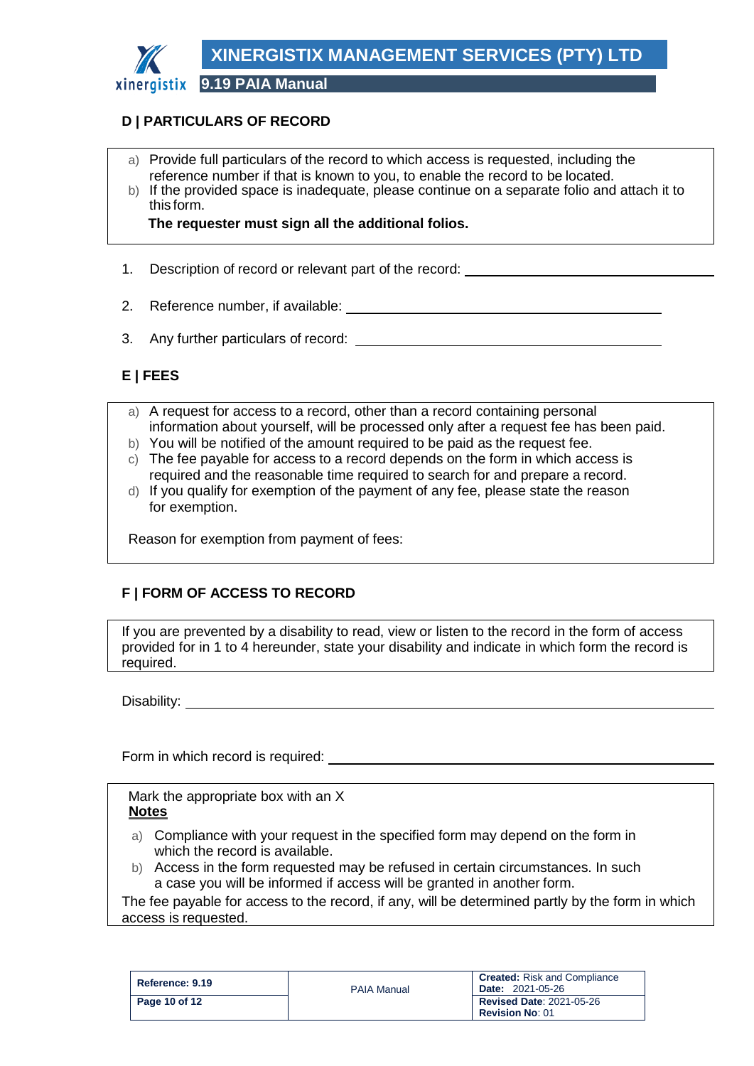

# **D | PARTICULARS OF RECORD**

- a) Provide full particulars of the record to which access is requested, including the reference number if that is known to you, to enable the record to be located.
- b) If the provided space is inadequate, please continue on a separate folio and attach it to this form.

**The requester must sign all the additional folios.**

- 1. Description of record or relevant part of the record:
- 2. Reference number, if available:
- 3. Any further particulars of record:

# **E | FEES**

- a) A request for access to a record, other than a record containing personal information about yourself, will be processed only after a request fee has been paid.
- b) You will be notified of the amount required to be paid as the request fee.
- c) The fee payable for access to a record depends on the form in which access is required and the reasonable time required to search for and prepare a record.
- d) If you qualify for exemption of the payment of any fee, please state the reason for exemption.

Reason for exemption from payment of fees:

# **F | FORM OF ACCESS TO RECORD**

If you are prevented by a disability to read, view or listen to the record in the form of access provided for in 1 to 4 hereunder, state your disability and indicate in which form the record is required.

Disability: **Disability:** 

Form in which record is required:

Mark the appropriate box with an X **Notes**

- a) Compliance with your request in the specified form may depend on the form in which the record is available.
- b) Access in the form requested may be refused in certain circumstances. In such a case you will be informed if access will be granted in another form.

The fee payable for access to the record, if any, will be determined partly by the form in which access is requested.

| Reference: 9.19 | <b>PAIA Manual</b> | <b>Created:</b> Risk and Compliance<br><b>Date: 2021-05-26</b> |
|-----------------|--------------------|----------------------------------------------------------------|
| Page 10 of 12   |                    | <b>Revised Date: 2021-05-26</b><br><b>Revision No: 01</b>      |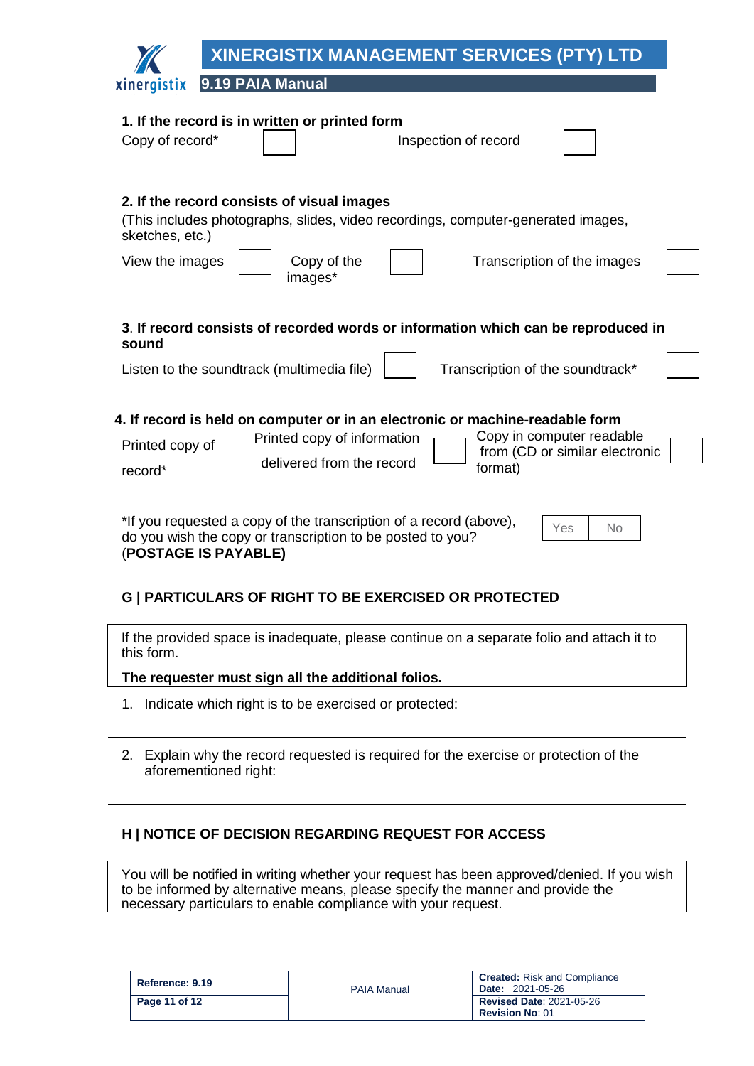|                                                                                                                                                                       | <b>XINERGISTIX MANAGEMENT SERVICES (PTY) LTD</b>                                                                                                                                                                    |  |
|-----------------------------------------------------------------------------------------------------------------------------------------------------------------------|---------------------------------------------------------------------------------------------------------------------------------------------------------------------------------------------------------------------|--|
| xinergistix                                                                                                                                                           | 9.19 PAIA Manual                                                                                                                                                                                                    |  |
| Copy of record*                                                                                                                                                       | 1. If the record is in written or printed form<br>Inspection of record                                                                                                                                              |  |
| sketches, etc.)<br>View the images                                                                                                                                    | 2. If the record consists of visual images<br>(This includes photographs, slides, video recordings, computer-generated images,<br>Copy of the<br>Transcription of the images<br>images*                             |  |
| sound                                                                                                                                                                 | 3. If record consists of recorded words or information which can be reproduced in<br>Listen to the soundtrack (multimedia file)<br>Transcription of the soundtrack*                                                 |  |
| Printed copy of<br>record*                                                                                                                                            | 4. If record is held on computer or in an electronic or machine-readable form<br>Copy in computer readable<br>Printed copy of information<br>from (CD or similar electronic<br>delivered from the record<br>format) |  |
| *If you requested a copy of the transcription of a record (above),<br>Yes<br>No<br>do you wish the copy or transcription to be posted to you?<br>(POSTAGE IS PAYABLE) |                                                                                                                                                                                                                     |  |

# **G | PARTICULARS OF RIGHT TO BE EXERCISED OR PROTECTED**

#### **The requester must sign all the additional folios.**

- 1. Indicate which right is to be exercised or protected:
- 2. Explain why the record requested is required for the exercise or protection of the aforementioned right:

### **H | NOTICE OF DECISION REGARDING REQUEST FOR ACCESS**

You will be notified in writing whether your request has been approved/denied. If you wish to be informed by alternative means, please specify the manner and provide the necessary particulars to enable compliance with your request.

| Reference: 9.19 | <b>PAIA Manual</b> | <b>Created:</b> Risk and Compliance<br><b>Date: 2021-05-26</b> |
|-----------------|--------------------|----------------------------------------------------------------|
| Page 11 of 12   |                    | <b>Revised Date: 2021-05-26</b>                                |
|                 |                    | <b>Revision No: 01</b>                                         |